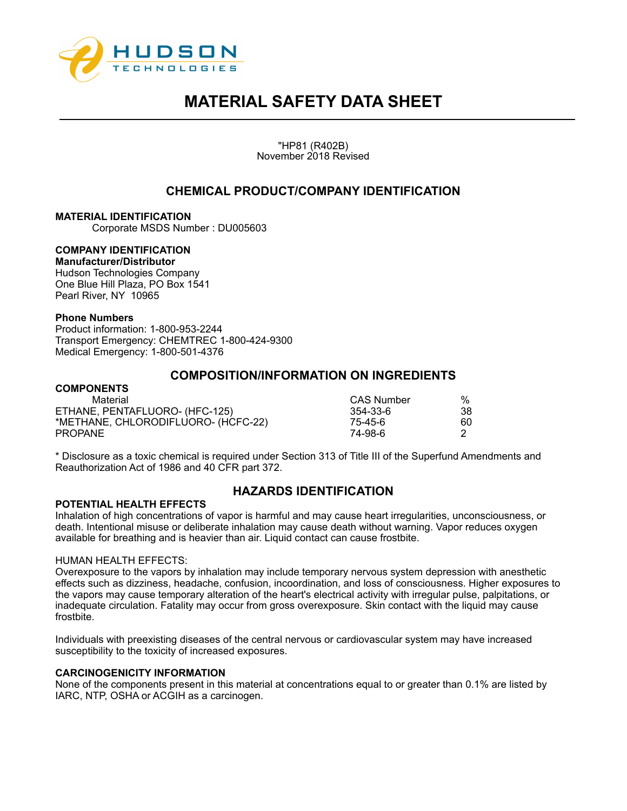

"HP81 (R402B) November 2018 Revised

## **CHEMICAL PRODUCT/COMPANY IDENTIFICATION**

### **MATERIAL IDENTIFICATION**

Corporate MSDS Number : DU005603

## **COMPANY IDENTIFICATION**

**Manufacturer/Distributor**  Hudson Technologies Company One Blue Hill Plaza, PO Box 1541 Pearl River, NY 10965

#### **Phone Numbers**

Product information: 1-800-953-2244 Transport Emergency: CHEMTREC 1-800-424-9300 Medical Emergency: 1-800-501-4376

### **COMPOSITION/INFORMATION ON INGREDIENTS**

#### **COMPONENTS** Material CAS Number % ETHANE, PENTAFLUORO- (HFC-125) 354-33-6 38 \*METHANE, CHLORODIFLUORO- (HCFC-22) 75-45-6 60 PROPANE 74-98-6 2

\* Disclosure as a toxic chemical is required under Section 313 of Title III of the Superfund Amendments and Reauthorization Act of 1986 and 40 CFR part 372.

#### **POTENTIAL HEALTH EFFECTS**

## **HAZARDS IDENTIFICATION**

Inhalation of high concentrations of vapor is harmful and may cause heart irregularities, unconsciousness, or death. Intentional misuse or deliberate inhalation may cause death without warning. Vapor reduces oxygen available for breathing and is heavier than air. Liquid contact can cause frostbite.

#### HUMAN HEALTH EFFECTS:

Overexposure to the vapors by inhalation may include temporary nervous system depression with anesthetic effects such as dizziness, headache, confusion, incoordination, and loss of consciousness. Higher exposures to the vapors may cause temporary alteration of the heart's electrical activity with irregular pulse, palpitations, or inadequate circulation. Fatality may occur from gross overexposure. Skin contact with the liquid may cause frostbite.

Individuals with preexisting diseases of the central nervous or cardiovascular system may have increased susceptibility to the toxicity of increased exposures.

#### **CARCINOGENICITY INFORMATION**

None of the components present in this material at concentrations equal to or greater than 0.1% are listed by IARC, NTP, OSHA or ACGIH as a carcinogen.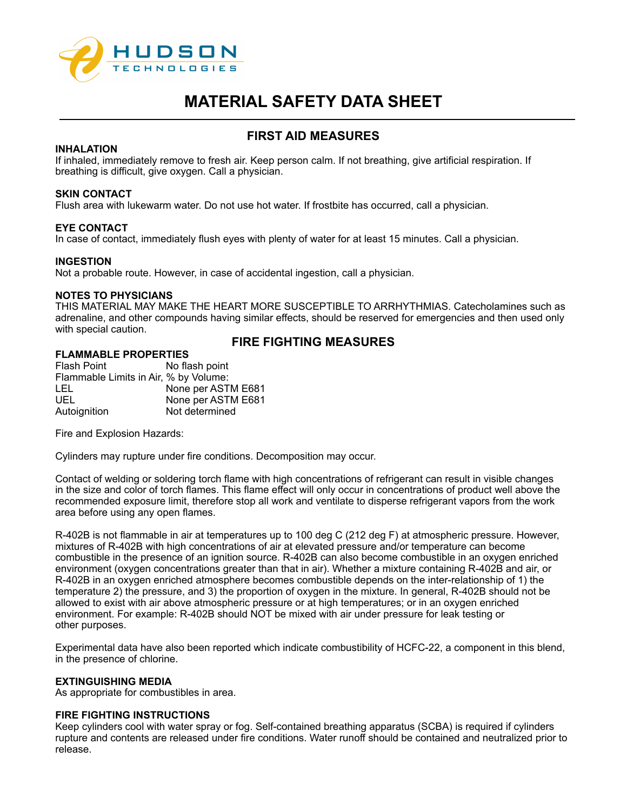

## **FIRST AID MEASURES**

#### **INHALATION**

If inhaled, immediately remove to fresh air. Keep person calm. If not breathing, give artificial respiration. If breathing is difficult, give oxygen. Call a physician.

#### **SKIN CONTACT**

Flush area with lukewarm water. Do not use hot water. If frostbite has occurred, call a physician.

#### **EYE CONTACT**

In case of contact, immediately flush eyes with plenty of water for at least 15 minutes. Call a physician.

#### **INGESTION**

Not a probable route. However, in case of accidental ingestion, call a physician.

#### **NOTES TO PHYSICIANS**

THIS MATERIAL MAY MAKE THE HEART MORE SUSCEPTIBLE TO ARRHYTHMIAS. Catecholamines such as adrenaline, and other compounds having similar effects, should be reserved for emergencies and then used only with special caution.

## **FIRE FIGHTING MEASURES**

## **FLAMMABLE PROPERTIES** No flash point Flammable Limits in Air, % by Volume:

LEL None per ASTM E681<br>UEL None per ASTM E681 None per ASTM E681 Autoignition Not determined

Fire and Explosion Hazards:

Cylinders may rupture under fire conditions. Decomposition may occur.

Contact of welding or soldering torch flame with high concentrations of refrigerant can result in visible changes in the size and color of torch flames. This flame effect will only occur in concentrations of product well above the recommended exposure limit, therefore stop all work and ventilate to disperse refrigerant vapors from the work area before using any open flames.

R-402B is not flammable in air at temperatures up to 100 deg C (212 deg F) at atmospheric pressure. However, mixtures of R-402B with high concentrations of air at elevated pressure and/or temperature can become combustible in the presence of an ignition source. R-402B can also become combustible in an oxygen enriched environment (oxygen concentrations greater than that in air). Whether a mixture containing R-402B and air, or R-402B in an oxygen enriched atmosphere becomes combustible depends on the inter-relationship of 1) the temperature 2) the pressure, and 3) the proportion of oxygen in the mixture. In general, R-402B should not be allowed to exist with air above atmospheric pressure or at high temperatures; or in an oxygen enriched environment. For example: R-402B should NOT be mixed with air under pressure for leak testing or other purposes.

Experimental data have also been reported which indicate combustibility of HCFC-22, a component in this blend, in the presence of chlorine.

#### **EXTINGUISHING MEDIA**

As appropriate for combustibles in area.

#### **FIRE FIGHTING INSTRUCTIONS**

Keep cylinders cool with water spray or fog. Self-contained breathing apparatus (SCBA) is required if cylinders rupture and contents are released under fire conditions. Water runoff should be contained and neutralized prior to release.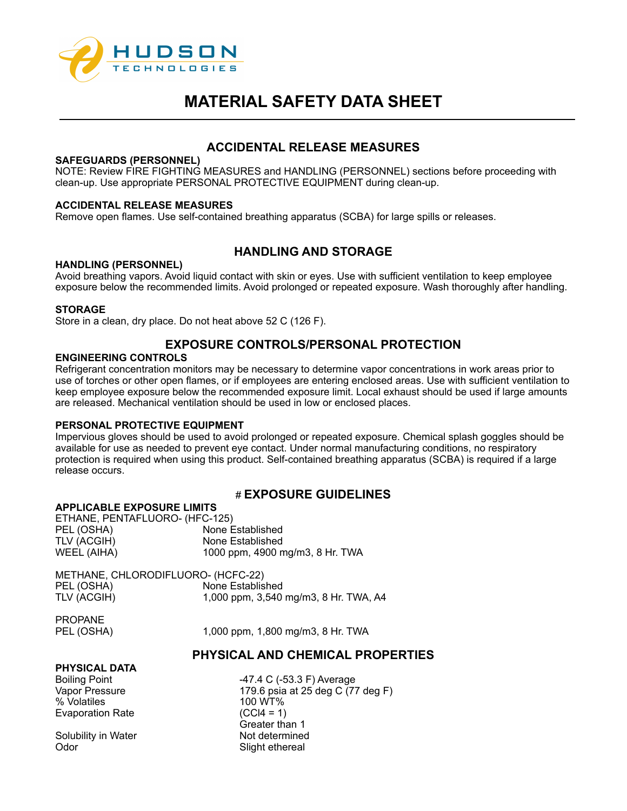

## **ACCIDENTAL RELEASE MEASURES**

#### **SAFEGUARDS (PERSONNEL)**

NOTE: Review FIRE FIGHTING MEASURES and HANDLING (PERSONNEL) sections before proceeding with clean-up. Use appropriate PERSONAL PROTECTIVE EQUIPMENT during clean-up.

### **ACCIDENTAL RELEASE MEASURES**

Remove open flames. Use self-contained breathing apparatus (SCBA) for large spills or releases.

## **HANDLING AND STORAGE**

#### **HANDLING (PERSONNEL)**

Avoid breathing vapors. Avoid liquid contact with skin or eyes. Use with sufficient ventilation to keep employee exposure below the recommended limits. Avoid prolonged or repeated exposure. Wash thoroughly after handling.

### **STORAGE**

Store in a clean, dry place. Do not heat above 52 C (126 F).

## **EXPOSURE CONTROLS/PERSONAL PROTECTION**

### **ENGINEERING CONTROLS**

Refrigerant concentration monitors may be necessary to determine vapor concentrations in work areas prior to use of torches or other open flames, or if employees are entering enclosed areas. Use with sufficient ventilation to keep employee exposure below the recommended exposure limit. Local exhaust should be used if large amounts are released. Mechanical ventilation should be used in low or enclosed places.

#### **PERSONAL PROTECTIVE EQUIPMENT**

Impervious gloves should be used to avoid prolonged or repeated exposure. Chemical splash goggles should be available for use as needed to prevent eye contact. Under normal manufacturing conditions, no respiratory protection is required when using this product. Self-contained breathing apparatus (SCBA) is required if a large release occurs.

## # **EXPOSURE GUIDELINES**

#### **APPLICABLE EXPOSURE LIMITS**

ETHANE, PENTAFLUORO- (HFC-125) PEL (OSHA) None Established<br>TLV (ACGIH) None Established None Established WEEL (AIHA) 1000 ppm, 4900 mg/m3, 8 Hr. TWA

METHANE, CHLORODIFLUORO- (HCFC-22) PEL (OSHA) None Established TLV (ACGIH) 1,000 ppm, 3,540 mg/m3, 8 Hr. TWA, A4

PROPANE

PEL (OSHA) 1,000 ppm, 1,800 mg/m3, 8 Hr. TWA

## **PHYSICAL AND CHEMICAL PROPERTIES**

#### **PHYSICAL DATA**

% Volatiles 100 WT% Evaporation Rate (CCl4 = 1)

Solubility in Water Not determined Odor Slight ethereal

Boiling Point **-47.4 C (-53.3 F)** Average Vapor Pressure 179.6 psia at 25 deg C (77 deg F) Greater than 1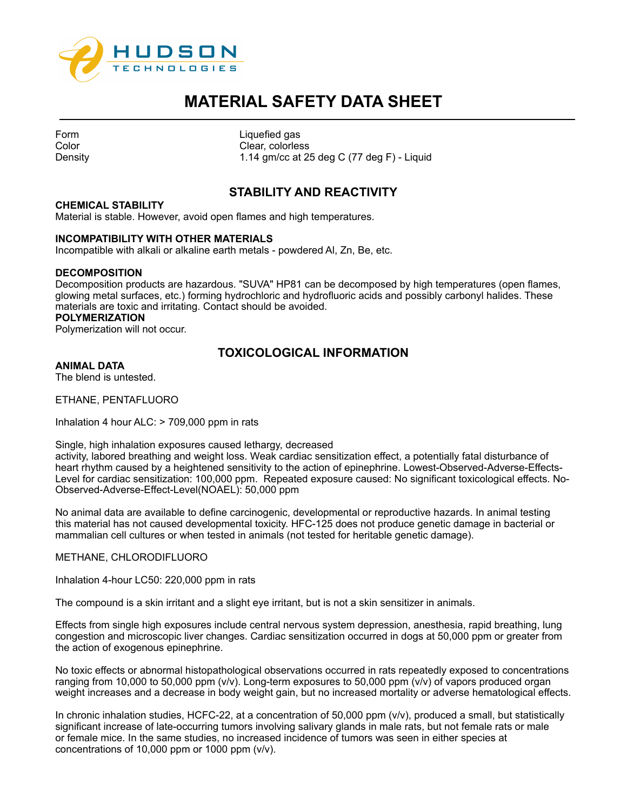

| Form    |
|---------|
| Color   |
| Density |

Liquefied gas Clear, colorless 1.14 gm/cc at 25 deg C (77 deg F) - Liquid

## **STABILITY AND REACTIVITY**

#### **CHEMICAL STABILITY**

Material is stable. However, avoid open flames and high temperatures.

#### **INCOMPATIBILITY WITH OTHER MATERIALS**

Incompatible with alkali or alkaline earth metals - powdered Al, Zn, Be, etc.

#### **DECOMPOSITION**

Decomposition products are hazardous. "SUVA" HP81 can be decomposed by high temperatures (open flames, glowing metal surfaces, etc.) forming hydrochloric and hydrofluoric acids and possibly carbonyl halides. These materials are toxic and irritating. Contact should be avoided.

#### **POLYMERIZATION**

Polymerization will not occur.

## **TOXICOLOGICAL INFORMATION**

### **ANIMAL DATA**

The blend is untested.

ETHANE, PENTAFLUORO

Inhalation 4 hour ALC: > 709,000 ppm in rats

Single, high inhalation exposures caused lethargy, decreased

activity, labored breathing and weight loss. Weak cardiac sensitization effect, a potentially fatal disturbance of heart rhythm caused by a heightened sensitivity to the action of epinephrine. Lowest-Observed-Adverse-Effects-Level for cardiac sensitization: 100,000 ppm. Repeated exposure caused: No significant toxicological effects. No-Observed-Adverse-Effect-Level(NOAEL): 50,000 ppm

No animal data are available to define carcinogenic, developmental or reproductive hazards. In animal testing this material has not caused developmental toxicity. HFC-125 does not produce genetic damage in bacterial or mammalian cell cultures or when tested in animals (not tested for heritable genetic damage).

METHANE, CHLORODIFLUORO

Inhalation 4-hour LC50: 220,000 ppm in rats

The compound is a skin irritant and a slight eye irritant, but is not a skin sensitizer in animals.

Effects from single high exposures include central nervous system depression, anesthesia, rapid breathing, lung congestion and microscopic liver changes. Cardiac sensitization occurred in dogs at 50,000 ppm or greater from the action of exogenous epinephrine.

No toxic effects or abnormal histopathological observations occurred in rats repeatedly exposed to concentrations ranging from 10,000 to 50,000 ppm (v/v). Long-term exposures to 50,000 ppm (v/v) of vapors produced organ weight increases and a decrease in body weight gain, but no increased mortality or adverse hematological effects.

In chronic inhalation studies, HCFC-22, at a concentration of 50,000 ppm (v/v), produced a small, but statistically significant increase of late-occurring tumors involving salivary glands in male rats, but not female rats or male or female mice. In the same studies, no increased incidence of tumors was seen in either species at concentrations of 10,000 ppm or 1000 ppm (v/v).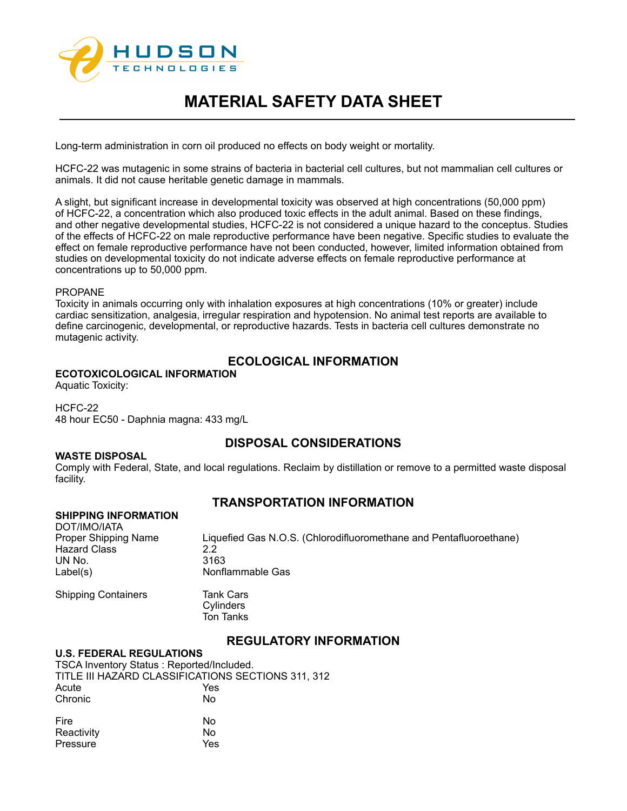

Long-term administration in corn oil produced no effects on body weight or mortality.

HCFC-22 was mutagenic in some strains of bacteria in bacterial cell cultures, but not mammalian cell cultures or animals. It did not cause heritable genetic damage in mammals.

A slight, but significant increase in developmental toxicity was observed at high concentrations (50,000 ppm) of HCFC-22, a concentration which also produced toxic effects in the adult animal. Based on these findings, and other negative developmental studies, HCFC-22 is not considered a unique hazard to the conceptus. Studies of the effects of HCFC-22 on male reproductive performance have been negative. Specific studies to evaluate the effect on female reproductive performance have not been conducted, however, limited information obtained from studies on developmental toxicity do not indicate adverse effects on female reproductive performance at concentrations up to 50,000 ppm.

#### PROPANE

Toxicity in animals occurring only with inhalation exposures at high concentrations (10% or greater) include cardiac sensitization, analgesia, irregular respiration and hypotension. No animal test reports are available to define carcinogenic, developmental, or reproductive hazards. Tests in bacteria cell cultures demonstrate no mutagenic activity.

## **ECOLOGICAL INFORMATION**

### **ECOTOXICOLOGICAL INFORMATION**

Aquatic Toxicity:

#### HCFC-22 48 hour EC50 - Daphnia magna: 433 mg/L

## **DISPOSAL CONSIDERATIONS**

**WASTE DISPOSAL** Comply with Federal, State, and local regulations. Reclaim by distillation or remove to a permitted waste disposal facility.

## **TRANSPORTATION INFORMATION**

| <b>SHIPPING INFORMATION</b><br>DOT/IMO/IATA<br>Proper Shipping Name<br><b>Hazard Class</b><br>UN No.<br>Label(s) | Liquefied Gas N.O.S. (Chlorodifluoromethane and Pentafluoroethane)<br>22<br>3163<br>Nonflammable Gas |
|------------------------------------------------------------------------------------------------------------------|------------------------------------------------------------------------------------------------------|
| <b>Shipping Containers</b>                                                                                       | <b>Tank Cars</b><br>Cylinders<br>Ton Tanks                                                           |

## **REGULATORY INFORMATION**

#### **U.S. FEDERAL REGULATIONS**

TSCA Inventory Status : Reported/Included. TITLE III HAZARD CLASSIFICATIONS SECTIONS 311, 312 Acute Yes<br>Chronic No Chronic Fire No Reactivity No<br>Pressure Yes Pressure